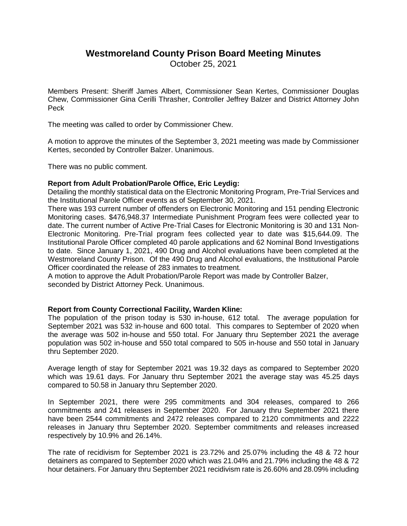# **Westmoreland County Prison Board Meeting Minutes**

October 25, 2021

Members Present: Sheriff James Albert, Commissioner Sean Kertes, Commissioner Douglas Chew, Commissioner Gina Cerilli Thrasher, Controller Jeffrey Balzer and District Attorney John Peck

The meeting was called to order by Commissioner Chew.

A motion to approve the minutes of the September 3, 2021 meeting was made by Commissioner Kertes, seconded by Controller Balzer. Unanimous.

There was no public comment.

## **Report from Adult Probation/Parole Office, Eric Leydig:**

Detailing the monthly statistical data on the Electronic Monitoring Program, Pre-Trial Services and the Institutional Parole Officer events as of September 30, 2021.

There was 193 current number of offenders on Electronic Monitoring and 151 pending Electronic Monitoring cases. \$476,948.37 Intermediate Punishment Program fees were collected year to date. The current number of Active Pre-Trial Cases for Electronic Monitoring is 30 and 131 Non-Electronic Monitoring. Pre-Trial program fees collected year to date was \$15,644.09. The Institutional Parole Officer completed 40 parole applications and 62 Nominal Bond Investigations to date. Since January 1, 2021, 490 Drug and Alcohol evaluations have been completed at the Westmoreland County Prison. Of the 490 Drug and Alcohol evaluations, the Institutional Parole Officer coordinated the release of 283 inmates to treatment.

A motion to approve the Adult Probation/Parole Report was made by Controller Balzer, seconded by District Attorney Peck. Unanimous.

## **Report from County Correctional Facility, Warden Kline:**

The population of the prison today is 530 in-house, 612 total. The average population for September 2021 was 532 in-house and 600 total. This compares to September of 2020 when the average was 502 in-house and 550 total. For January thru September 2021 the average population was 502 in-house and 550 total compared to 505 in-house and 550 total in January thru September 2020.

Average length of stay for September 2021 was 19.32 days as compared to September 2020 which was 19.61 days. For January thru September 2021 the average stay was 45.25 days compared to 50.58 in January thru September 2020.

In September 2021, there were 295 commitments and 304 releases, compared to 266 commitments and 241 releases in September 2020. For January thru September 2021 there have been 2544 commitments and 2472 releases compared to 2120 commitments and 2222 releases in January thru September 2020. September commitments and releases increased respectively by 10.9% and 26.14%.

The rate of recidivism for September 2021 is 23.72% and 25.07% including the 48 & 72 hour detainers as compared to September 2020 which was 21.04% and 21.79% including the 48 & 72 hour detainers. For January thru September 2021 recidivism rate is 26.60% and 28.09% including